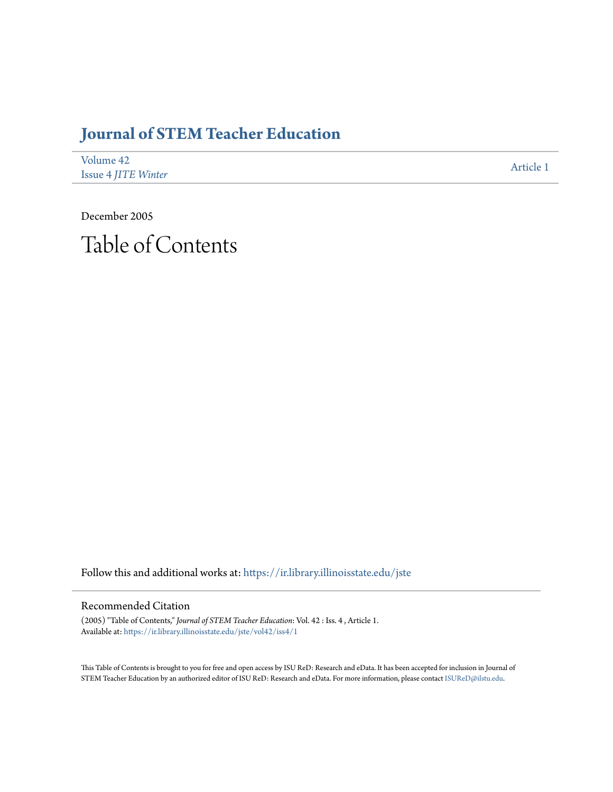## **[Journal of STEM Teacher Education](https://ir.library.illinoisstate.edu/jste?utm_source=ir.library.illinoisstate.edu%2Fjste%2Fvol42%2Fiss4%2F1&utm_medium=PDF&utm_campaign=PDFCoverPages)**

| Volume 42                  | Article 1 |
|----------------------------|-----------|
| <b>Issue 4 JITE Winter</b> |           |

December 2005 Table of Contents

Follow this and additional works at: [https://ir.library.illinoisstate.edu/jste](https://ir.library.illinoisstate.edu/jste?utm_source=ir.library.illinoisstate.edu%2Fjste%2Fvol42%2Fiss4%2F1&utm_medium=PDF&utm_campaign=PDFCoverPages)

## Recommended Citation

(2005) "Table of Contents," *Journal of STEM Teacher Education*: Vol. 42 : Iss. 4 , Article 1.  $\bf{Available \ at: \ } https://ir.library.illino is state.edu/jste/vol42/iss4/1$ 

This Table of Contents is brought to you for free and open access by ISU ReD: Research and eData. It has been accepted for inclusion in Journal of STEM Teacher Education by an authorized editor of ISU ReD: Research and eData. For more information, please contact [ISUReD@ilstu.edu.](mailto:ISUReD@ilstu.edu)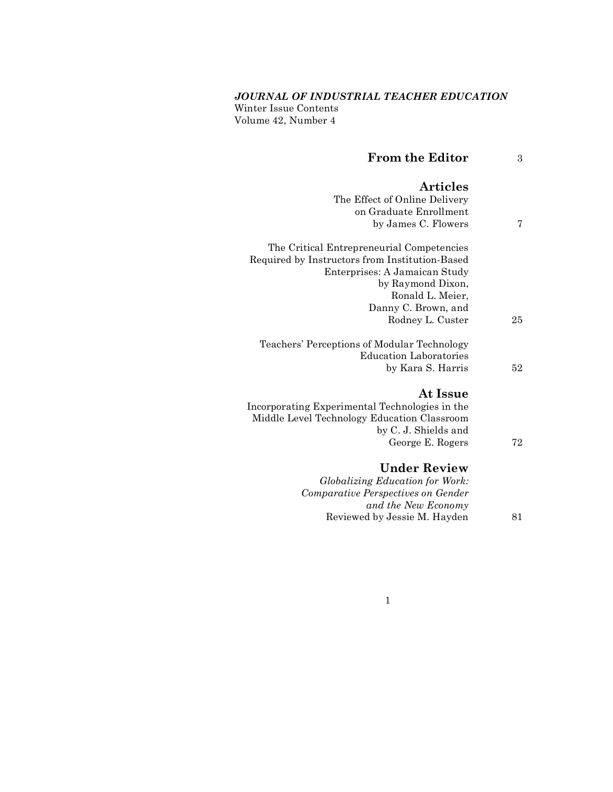## *JOURNAL OF INDUSTRIAL TEACHER EDUCATION*

Winter Issue Contents Volume 42, Number 4

| <b>From the Editor</b>                                                                        | 3  |
|-----------------------------------------------------------------------------------------------|----|
| <b>Articles</b>                                                                               |    |
| The Effect of Online Delivery                                                                 |    |
| on Graduate Enrollment                                                                        |    |
| by James C. Flowers                                                                           | 7  |
| The Critical Entrepreneurial Competencies                                                     |    |
| Required by Instructors from Institution-Based                                                |    |
| Enterprises: A Jamaican Study                                                                 |    |
| by Raymond Dixon,                                                                             |    |
| Ronald L. Meier,                                                                              |    |
| Danny C. Brown, and                                                                           |    |
| Rodney L. Custer                                                                              | 25 |
| Teachers' Perceptions of Modular Technology                                                   |    |
| <b>Education Laboratories</b>                                                                 |    |
| by Kara S. Harris                                                                             | 52 |
| At Issue                                                                                      |    |
|                                                                                               |    |
| Incorporating Experimental Technologies in the<br>Middle Level Technology Education Classroom |    |
| by C. J. Shields and                                                                          |    |
| George E. Rogers                                                                              | 72 |
|                                                                                               |    |
| <b>Under Review</b>                                                                           |    |
| Globalizing Education for Work:                                                               |    |
| Comparative Perspectives on Gender                                                            |    |
| and the New Economy                                                                           |    |
| Reviewed by Jessie M. Hayden                                                                  | 81 |

1